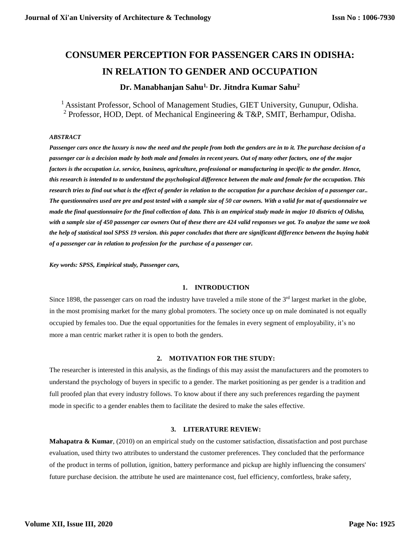# **CONSUMER PERCEPTION FOR PASSENGER CARS IN ODISHA: IN RELATION TO GENDER AND OCCUPATION**

# **Dr. Manabhanjan Sahu1, Dr. Jitndra Kumar Sahu<sup>2</sup>**

<sup>1</sup> Assistant Professor, School of Management Studies, GIET University, Gunupur, Odisha. <sup>2</sup> Professor, HOD, Dept. of Mechanical Engineering & T&P, SMIT, Berhampur, Odisha.

#### *ABSTRACT*

*Passenger cars once the luxury is now the need and the people from both the genders are in to it. The purchase decision of a passenger car is a decision made by both male and females in recent years. Out of many other factors, one of the major factors is the occupation i.e. service, business, agriculture, professional or manufacturing in specific to the gender. Hence, this research is intended to to understand the psychological difference between the male and female for the occupation. This research tries to find out what is the effect of gender in relation to the occupation for a purchase decision of a passenger car.. The questionnaires used are pre and post tested with a sample size of 50 car owners. With a valid for mat of questionnaire we made the final questionnaire for the final collection of data. This is an empirical study made in major 10 districts of Odisha, with a sample size of 450 passenger car owners Out of these there are 424 valid responses we got. To analyze the same we took the help of statistical tool SPSS 19 version. this paper concludes that there are significant difference between the buying habit of a passenger car in relation to profession for the purchase of a passenger car.* 

*Key words: SPSS, Empirical study, Passenger cars,* 

#### **1. INTRODUCTION**

Since 1898, the passenger cars on road the industry have traveled a mile stone of the 3<sup>rd</sup> largest market in the globe, in the most promising market for the many global promoters. The society once up on male dominated is not equally occupied by females too. Due the equal opportunities for the females in every segment of employability, it's no more a man centric market rather it is open to both the genders.

#### **2. MOTIVATION FOR THE STUDY:**

The researcher is interested in this analysis, as the findings of this may assist the manufacturers and the promoters to understand the psychology of buyers in specific to a gender. The market positioning as per gender is a tradition and full proofed plan that every industry follows. To know about if there any such preferences regarding the payment mode in specific to a gender enables them to facilitate the desired to make the sales effective.

# **3. LITERATURE REVIEW:**

**Mahapatra & Kumar**, (2010) on an empirical study on the customer satisfaction, dissatisfaction and post purchase evaluation, used thirty two attributes to understand the customer preferences. They concluded that the performance of the product in terms of pollution, ignition, battery performance and pickup are highly influencing the consumers' future purchase decision. the attribute he used are maintenance cost, fuel efficiency, comfortless, brake safety,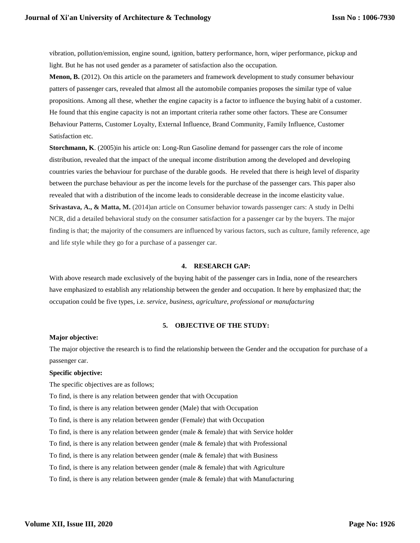vibration, pollution/emission, engine sound, ignition, battery performance, horn, wiper performance, pickup and light. But he has not used gender as a parameter of satisfaction also the occupation.

**Menon, B.** (2012). On this article on the parameters and framework development to study consumer behaviour patters of passenger cars, revealed that almost all the automobile companies proposes the similar type of value propositions. Among all these, whether the engine capacity is a factor to influence the buying habit of a customer. He found that this engine capacity is not an important criteria rather some other factors. These are Consumer Behaviour Patterns, Customer Loyalty, External Influence, Brand Community, Family Influence, Customer Satisfaction etc.

**Storchmann, K**. (2005)in his article on: Long-Run Gasoline demand for passenger cars the role of income distribution, revealed that the impact of the unequal income distribution among the developed and developing countries varies the behaviour for purchase of the durable goods. He reveled that there is heigh level of disparity between the purchase behaviour as per the income levels for the purchase of the passenger cars. This paper also revealed that with a distribution of the income leads to considerable decrease in the income elasticity value. **Srivastava, A., & Matta, M.** (2014)an article on Consumer behavior towards passenger cars: A study in Delhi NCR, did a detailed behavioral study on the consumer satisfaction for a passenger car by the buyers. The major finding is that; the majority of the consumers are influenced by various factors, such as culture, family reference, age and life style while they go for a purchase of a passenger car.

#### **4. RESEARCH GAP:**

With above research made exclusively of the buying habit of the passenger cars in India, none of the researchers have emphasized to establish any relationship between the gender and occupation. It here by emphasized that; the occupation could be five types, i.e. *service, business, agriculture, professional or manufacturing*

#### **5. OBJECTIVE OF THE STUDY:**

#### **Major objective:**

The major objective the research is to find the relationship between the Gender and the occupation for purchase of a passenger car.

#### **Specific objective:**

The specific objectives are as follows;

To find, is there is any relation between gender that with Occupation

To find, is there is any relation between gender (Male) that with Occupation

To find, is there is any relation between gender (Female) that with Occupation

To find, is there is any relation between gender (male & female) that with Service holder

To find, is there is any relation between gender (male & female) that with Professional

To find, is there is any relation between gender (male  $&$  female) that with Business

To find, is there is any relation between gender (male & female) that with Agriculture

To find, is there is any relation between gender (male & female) that with Manufacturing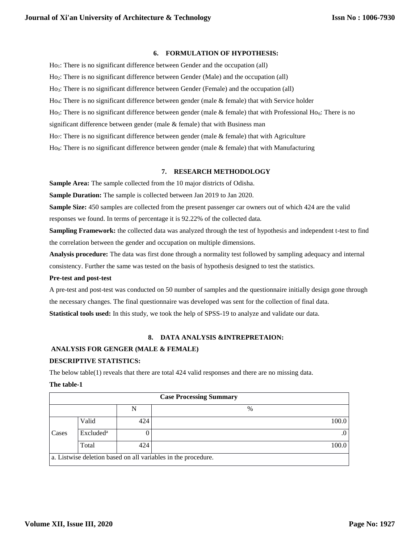#### **6. FORMULATION OF HYPOTHESIS:**

Ho<sub>1</sub>: There is no significant difference between Gender and the occupation (all) Ho2: There is no significant difference between Gender (Male) and the occupation (all) Ho3: There is no significant difference between Gender (Female) and the occupation (all) Ho<sub>4</sub>: There is no significant difference between gender (male  $\&$  female) that with Service holder Ho<sub>5</sub>: There is no significant difference between gender (male & female) that with Professional Ho<sub>6</sub>: There is no significant difference between gender (male & female) that with Business man Ho<sub>7</sub>: There is no significant difference between gender (male  $\&$  female) that with Agriculture  $H_{\text{O}_8}$ : There is no significant difference between gender (male & female) that with Manufacturing

#### **7. RESEARCH METHODOLOGY**

**Sample Area:** The sample collected from the 10 major districts of Odisha.

**Sample Duration:** The sample is collected between Jan 2019 to Jan 2020.

**Sample Size:** 450 samples are collected from the present passenger car owners out of which 424 are the valid

responses we found. In terms of percentage it is 92.22% of the collected data.

**Sampling Framework:** the collected data was analyzed through the test of hypothesis and independent t-test to find the correlation between the gender and occupation on multiple dimensions.

**Analysis procedure:** The data was first done through a normality test followed by sampling adequacy and internal consistency. Further the same was tested on the basis of hypothesis designed to test the statistics.

#### **Pre-test and post-test**

A pre-test and post-test was conducted on 50 number of samples and the questionnaire initially design gone through the necessary changes. The final questionnaire was developed was sent for the collection of final data. **Statistical tools used:** In this study, we took the help of SPSS-19 to analyze and validate our data.

## **8. DATA ANALYSIS &INTREPRETAION:**

# **ANALYSIS FOR GENGER (MALE & FEMALE)**

## **DESCRIPTIVE STATISTICS:**

The below table(1) reveals that there are total 424 valid responses and there are no missing data.

#### **The table-1**

|       |                       |     | <b>Case Processing Summary</b>                                |
|-------|-----------------------|-----|---------------------------------------------------------------|
|       |                       | N   | $\%$                                                          |
|       | Valid                 | 424 | 100.0                                                         |
| Cases | Excluded <sup>a</sup> |     | $\cdot$                                                       |
|       | Total                 | 424 | 100.0                                                         |
|       |                       |     | a. Listwise deletion based on all variables in the procedure. |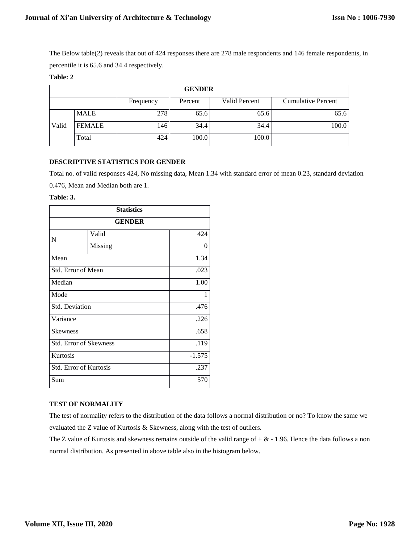The Below table(2) reveals that out of 424 responses there are 278 male respondents and 146 female respondents, in percentile it is 65.6 and 34.4 respectively.

# **Table: 2**

| <b>GENDER</b>                                                      |               |     |       |       |       |  |  |  |
|--------------------------------------------------------------------|---------------|-----|-------|-------|-------|--|--|--|
| Valid Percent<br><b>Cumulative Percent</b><br>Percent<br>Frequency |               |     |       |       |       |  |  |  |
|                                                                    | <b>MALE</b>   | 278 | 65.6  | 65.6  | 65.6  |  |  |  |
| Valid                                                              | <b>FEMALE</b> | 146 | 34.4  | 34.4  | 100.0 |  |  |  |
|                                                                    | Total         | 424 | 100.0 | 100.0 |       |  |  |  |

# **DESCRIPTIVE STATISTICS FOR GENDER**

Total no. of valid responses 424, No missing data, Mean 1.34 with standard error of mean 0.23, standard deviation

0.476, Mean and Median both are 1.

#### **Table: 3.**

| <b>Statistics</b>             |               |          |  |  |
|-------------------------------|---------------|----------|--|--|
|                               | <b>GENDER</b> |          |  |  |
| N                             | Valid         | 424      |  |  |
|                               | Missing       | $\theta$ |  |  |
| Mean                          |               | 1.34     |  |  |
| Std. Error of Mean            |               | .023     |  |  |
| Median                        |               | 1.00     |  |  |
| Mode                          | 1             |          |  |  |
| Std. Deviation                |               | .476     |  |  |
| Variance                      |               | .226     |  |  |
| <b>Skewness</b>               |               |          |  |  |
| <b>Std. Error of Skewness</b> |               | .119     |  |  |
| Kurtosis                      |               | $-1.575$ |  |  |
| <b>Std. Error of Kurtosis</b> |               | .237     |  |  |
| Sum                           |               | 570      |  |  |

## **TEST OF NORMALITY**

The test of normality refers to the distribution of the data follows a normal distribution or no? To know the same we evaluated the Z value of Kurtosis & Skewness, along with the test of outliers.

The Z value of Kurtosis and skewness remains outside of the valid range of  $+ \& -1.96$ . Hence the data follows a non normal distribution. As presented in above table also in the histogram below.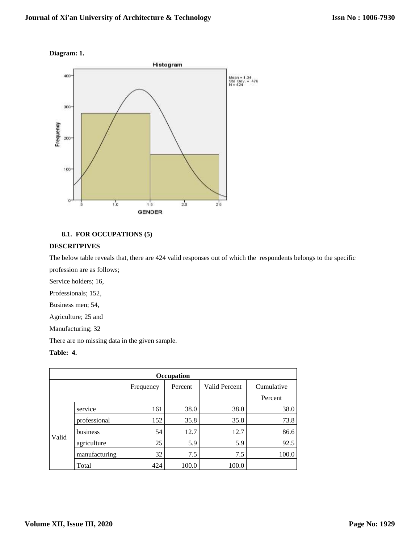# **Diagram: 1.**



# **8.1. FOR OCCUPATIONS (5)**

# **DESCRITPIVES**

The below table reveals that, there are 424 valid responses out of which the respondents belongs to the specific profession are as follows;

Service holders; 16,

Professionals; 152,

Business men; 54,

Agriculture; 25 and

Manufacturing; 32

There are no missing data in the given sample.

# **Table: 4.**

| Occupation |                                                     |     |       |       |         |  |  |  |
|------------|-----------------------------------------------------|-----|-------|-------|---------|--|--|--|
|            | Valid Percent<br>Cumulative<br>Percent<br>Frequency |     |       |       |         |  |  |  |
|            |                                                     |     |       |       | Percent |  |  |  |
|            | service                                             | 161 | 38.0  | 38.0  | 38.0    |  |  |  |
|            | professional                                        | 152 | 35.8  | 35.8  | 73.8    |  |  |  |
|            | business                                            | 54  | 12.7  | 12.7  | 86.6    |  |  |  |
| Valid      | agriculture                                         | 25  | 5.9   | 5.9   | 92.5    |  |  |  |
|            | manufacturing                                       | 32  | 7.5   | 7.5   | 100.0   |  |  |  |
|            | Total                                               | 424 | 100.0 | 100.0 |         |  |  |  |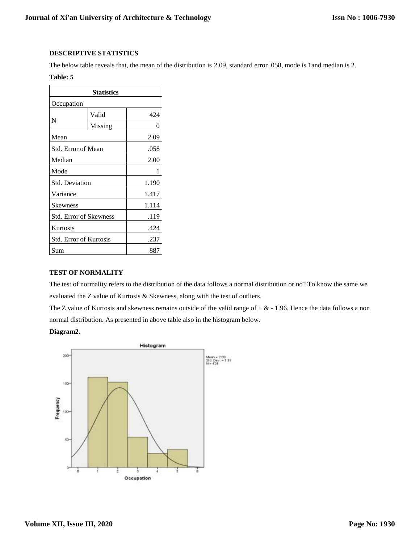# **DESCRIPTIVE STATISTICS**

The below table reveals that, the mean of the distribution is 2.09, standard error .058, mode is 1and median is 2.

# **Table: 5**

| <b>Statistics</b>             |         |       |  |  |
|-------------------------------|---------|-------|--|--|
| Occupation                    |         |       |  |  |
|                               | Valid   | 424   |  |  |
| N                             | Missing | 0     |  |  |
| Mean                          |         | 2.09  |  |  |
| Std. Error of Mean            |         | .058  |  |  |
| Median                        |         | 2.00  |  |  |
| Mode<br>1                     |         |       |  |  |
| <b>Std. Deviation</b>         | 1.190   |       |  |  |
| Variance                      | 1.417   |       |  |  |
| <b>Skewness</b>               |         | 1.114 |  |  |
| <b>Std. Error of Skewness</b> |         | .119  |  |  |
| Kurtosis                      | .424    |       |  |  |
| Std. Error of Kurtosis        | .237    |       |  |  |
| Sum                           |         | 887   |  |  |

## **TEST OF NORMALITY**

The test of normality refers to the distribution of the data follows a normal distribution or no? To know the same we evaluated the Z value of Kurtosis & Skewness, along with the test of outliers.

The Z value of Kurtosis and skewness remains outside of the valid range of  $+ \& -1.96$ . Hence the data follows a non normal distribution. As presented in above table also in the histogram below.

# **Diagram2.**

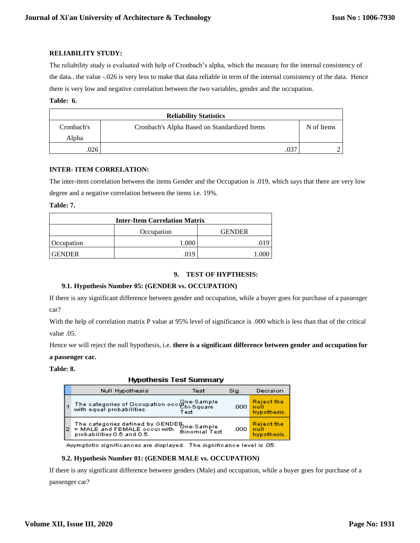#### **RELIABILITY STUDY:**

The reliability study is evaluated with help of Cronbach's alpha, which the measure for the internal consistency of the data.. the value -.026 is very less to make that data reliable in term of the internal consistency of the data. Hence there is very low and negative correlation between the two variables, gender and the occupation.

#### **Table: 6.**

| <b>Reliability Statistics</b> |                                              |      |            |  |  |  |
|-------------------------------|----------------------------------------------|------|------------|--|--|--|
| Cronbach's                    | Cronbach's Alpha Based on Standardized Items |      | N of Items |  |  |  |
| Alpha                         |                                              |      |            |  |  |  |
| .026                          |                                              | .037 |            |  |  |  |

## **INTER- ITEM CORRELATION:**

The inter-item correlation between the items Gender and the Occupation is .019, which says that there are very low degree and a negative correlation between the items i.e. 19%.

#### **Table: 7.**

| <b>Inter-Item Correlation Matrix</b> |  |  |  |  |  |
|--------------------------------------|--|--|--|--|--|
| Occupation<br><b>GENDER</b>          |  |  |  |  |  |
| <b>C</b> Occupation                  |  |  |  |  |  |
| <b>GENDER</b><br>019                 |  |  |  |  |  |

## **9. TEST OF HYPTHESIS:**

## **9.1. Hypothesis Number 05: (GENDER vs. OCCUPATION)**

If there is any significant difference between gender and occupation, while a buyer goes for purchase of a passenger car?

With the help of correlation matrix P value at 95% level of significance is .000 which is less than that of the critical value .05.

Hence we will reject the null hypothesis, i.e. **there is a significant difference between gender and occupation for** 

#### **a passenger car.**

**Table: 8.** 

## **Hypothesis Test Summary**

|    | Null Hypothesis                                                                                           | Test                 | Sig. | Decision                                 |
|----|-----------------------------------------------------------------------------------------------------------|----------------------|------|------------------------------------------|
| l1 | The categories of Occupation occupie-Sample<br>  with equal probabilities.                                | Test                 | .000 | <b>Reject the</b><br>null<br>hypothesis. |
| l2 | The categories defined by GENDER One-Sample<br>= MALE and FEMALE occur with<br>probabilities 0.5 and 0.5. | <b>Binomial Test</b> | .000 | <b>Reject the</b><br>null<br>hypothesis. |

Asymptotic significances are displayed. The significance level is .05.

## **9.2. Hypothesis Number 01: (GENDER MALE vs. OCCUPATION)**

If there is any significant difference between genders (Male) and occupation, while a buyer goes for purchase of a passenger car?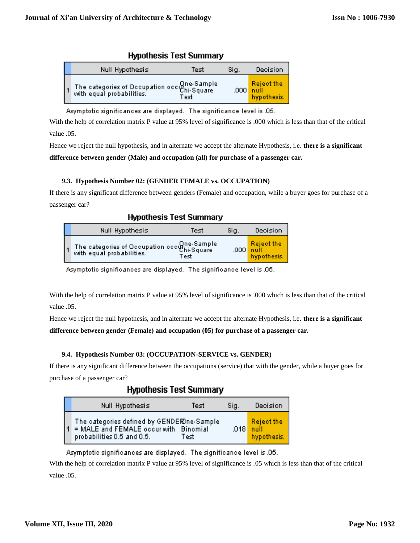| <b>TREADS</b> TOOL ONTITIOLY                                       |      |      |                                                             |  |  |  |  |  |
|--------------------------------------------------------------------|------|------|-------------------------------------------------------------|--|--|--|--|--|
| Null Hypothesis                                                    | Test | Sig. | Decision                                                    |  |  |  |  |  |
| The categories of Occupation occupies<br>with equal probabilities. | Test |      | <b>Reject the</b><br>$.000$ $^{\circ}$ null.<br>hypothesis. |  |  |  |  |  |

**Hymothosis Tost Summary** 

Asymptotic significances are displayed. The significance level is .05.

With the help of correlation matrix P value at 95% level of significance is .000 which is less than that of the critical value .05.

Hence we reject the null hypothesis, and in alternate we accept the alternate Hypothesis, i.e. **there is a significant difference between gender (Male) and occupation (all) for purchase of a passenger car.**

# **9.3. Hypothesis Number 02: (GENDER FEMALE vs. OCCUPATION)**

If there is any significant difference between genders (Female) and occupation, while a buyer goes for purchase of a passenger car?

| <b>Hypothesis Test Summary</b> |  |  |
|--------------------------------|--|--|
|--------------------------------|--|--|

| Null Hypothesis                                                          | Test | Sig. | Decision                                        |
|--------------------------------------------------------------------------|------|------|-------------------------------------------------|
| The categories of Occupation occupies ample<br>with equal probabilities. | Test |      | <b>Reject the</b><br>$.000$ null<br>hypothesis. |

Asymptotic significances are displayed. The significance level is .05.

With the help of correlation matrix P value at 95% level of significance is .000 which is less than that of the critical value .05.

Hence we reject the null hypothesis, and in alternate we accept the alternate Hypothesis, i.e. **there is a significant** 

# **difference between gender (Female) and occupation (05) for purchase of a passenger car.**

# **9.4. Hypothesis Number 03: (OCCUPATION-SERVICE vs. GENDER)**

If there is any significant difference between the occupations (service) that with the gender, while a buyer goes for purchase of a passenger car?

# **Hypothesis Test Summary**

| Null Hypothesis                                                                                                   | Test | Sig.   | Decision                          |
|-------------------------------------------------------------------------------------------------------------------|------|--------|-----------------------------------|
| The categories defined by GENDEROne-Sample<br>= MALE and FEMALE occur with Binomial<br>probabilities 0.5 and 0.5. | Test | .018 L | Reject the<br>null<br>hypothesis. |

Asymptotic significances are displayed. The significance level is .05.

With the help of correlation matrix P value at 95% level of significance is .05 which is less than that of the critical value .05.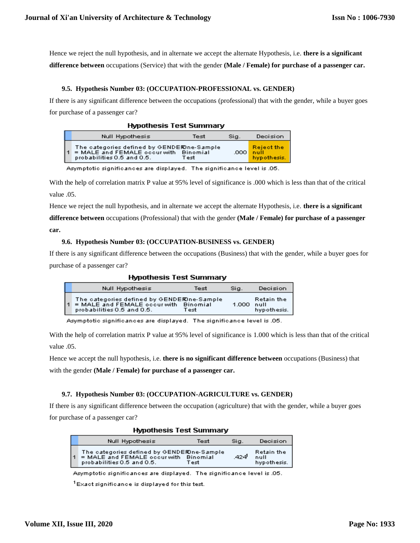Hence we reject the null hypothesis, and in alternate we accept the alternate Hypothesis, i.e. **there is a significant difference between** occupations (Service) that with the gender **(Male / Female) for purchase of a passenger car.**

#### **9.5. Hypothesis Number 03: (OCCUPATION-PROFESSIONAL vs. GENDER)**

If there is any significant difference between the occupations (professional) that with the gender, while a buyer goes for purchase of a passenger car?

| <b>Hypothesis Test Summary</b> |  |  |
|--------------------------------|--|--|
|--------------------------------|--|--|

| Null Hypothesis                                                                                                   | Test | Sig.   | Decision                                 |
|-------------------------------------------------------------------------------------------------------------------|------|--------|------------------------------------------|
| The categories defined by GENDERDne-Sample<br>= MALE and FEMALE occur with Binomial<br>probabilities 0.5 and 0.5. | Test | ا ממם. | <b>Reject the</b><br>null<br>hypothesis. |

Asymptotic significances are displayed. The significance level is .05.

With the help of correlation matrix P value at 95% level of significance is .000 which is less than that of the critical value .05.

Hence we reject the null hypothesis, and in alternate we accept the alternate Hypothesis, i.e. **there is a significant** 

**difference between** occupations (Professional) that with the gender **(Male / Female) for purchase of a passenger** 

**car.**

#### **9.6. Hypothesis Number 03: (OCCUPATION-BUSINESS vs. GENDER)**

If there is any significant difference between the occupations (Business) that with the gender, while a buyer goes for purchase of a passenger car?

| <b>Hypothesis Test Summary</b> |                                                                                                                   |      |       |                                   |  |  |
|--------------------------------|-------------------------------------------------------------------------------------------------------------------|------|-------|-----------------------------------|--|--|
|                                | Null Hypothesis                                                                                                   | Test | Sig.  | Decision                          |  |  |
|                                | The categories defined by GENDEROne-Sample<br>= MALE and FEMALE occur with Binomial<br>probabilities 0.5 and 0.5. | Test | 1.000 | Retain the<br>null<br>hypothesis. |  |  |

Asymptotic significances are displayed. The significance level is .05.

With the help of correlation matrix P value at 95% level of significance is 1.000 which is less than that of the critical value .05.

Hence we accept the null hypothesis, i.e. **there is no significant difference between** occupations (Business) that with the gender **(Male / Female) for purchase of a passenger car.**

## **9.7. Hypothesis Number 03: (OCCUPATION-AGRICULTURE vs. GENDER)**

If there is any significant difference between the occupation (agriculture) that with the gender, while a buyer goes for purchase of a passenger car?

|   | <b>MYROUTESIS TEST SUITHINGLY</b>                                                                                  |      |      |                                   |  |  |  |
|---|--------------------------------------------------------------------------------------------------------------------|------|------|-----------------------------------|--|--|--|
|   | Null Hypothesis                                                                                                    | Test | Sia. | Decision                          |  |  |  |
| 1 | The categories defined by GENDERDne-Sample.<br>= MALE and FEMALE occur with Binomial<br>probabilities 0.5 and 0.5. | Test | -424 | Retain the<br>null<br>hypothesis. |  |  |  |

**Lkmathoeie Toet Cummary** 

Asymptotic significances are displayed. The significance level is .05.

 $1$ Exact significance is displayed for this test.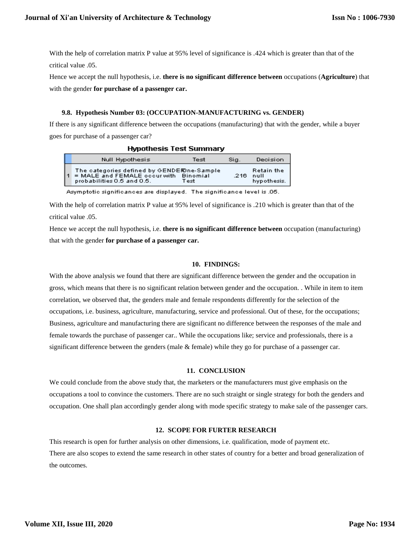With the help of correlation matrix P value at 95% level of significance is .424 which is greater than that of the critical value .05.

Hence we accept the null hypothesis, i.e. **there is no significant difference between** occupations (**Agriculture**) that with the gender **for purchase of a passenger car.**

#### **9.8. Hypothesis Number 03: (OCCUPATION-MANUFACTURING vs. GENDER)**

If there is any significant difference between the occupations (manufacturing) that with the gender, while a buyer goes for purchase of a passenger car?

| <b>Hypothesis Test Summary</b> |                                                                                                                   |      |      |                                          |  |  |
|--------------------------------|-------------------------------------------------------------------------------------------------------------------|------|------|------------------------------------------|--|--|
|                                | Null Hypothesis                                                                                                   | Test | Sig. | Decision                                 |  |  |
|                                | The categories defined by GENDEROne-Sample<br>= MALE and FEMALE occur with Binomial<br>probabilities 0.5 and 0.5. | Test | -216 | <b>Retain the</b><br>null<br>hypothesis. |  |  |

Asymptotic significances are displayed. The significance level is .05.

With the help of correlation matrix P value at 95% level of significance is .210 which is greater than that of the critical value .05.

Hence we accept the null hypothesis, i.e. **there is no significant difference between** occupation (manufacturing) that with the gender **for purchase of a passenger car.**

#### **10. FINDINGS:**

With the above analysis we found that there are significant difference between the gender and the occupation in gross, which means that there is no significant relation between gender and the occupation. . While in item to item correlation, we observed that, the genders male and female respondents differently for the selection of the occupations, i.e. business, agriculture, manufacturing, service and professional. Out of these, for the occupations; Business, agriculture and manufacturing there are significant no difference between the responses of the male and female towards the purchase of passenger car.. While the occupations like; service and professionals, there is a significant difference between the genders (male  $&$  female) while they go for purchase of a passenger car.

#### **11. CONCLUSION**

We could conclude from the above study that, the marketers or the manufacturers must give emphasis on the occupations a tool to convince the customers. There are no such straight or single strategy for both the genders and occupation. One shall plan accordingly gender along with mode specific strategy to make sale of the passenger cars.

## **12. SCOPE FOR FURTER RESEARCH**

This research is open for further analysis on other dimensions, i.e. qualification, mode of payment etc. There are also scopes to extend the same research in other states of country for a better and broad generalization of the outcomes.